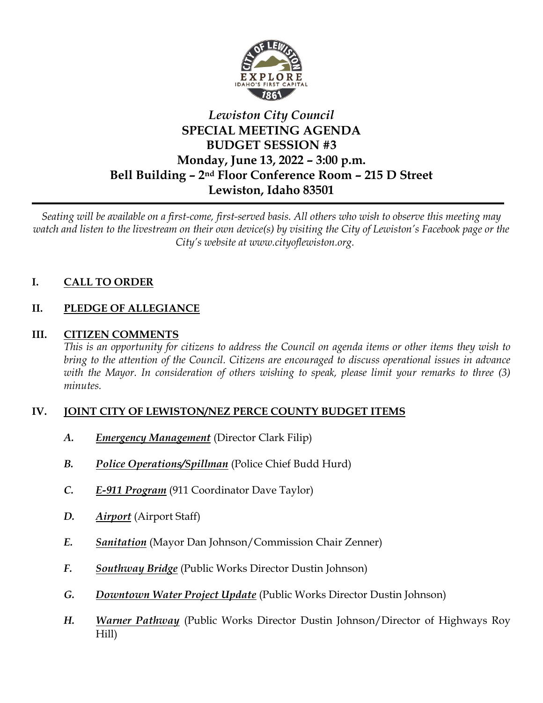

# *Lewiston City Council* **SPECIAL MEETING AGENDA BUDGET SESSION #3 Monday, June 13, 2022 – 3:00 p.m. Bell Building – 2nd Floor Conference Room – 215 D Street Lewiston, Idaho 83501**

*Seating will be available on a first-come, first-served basis. All others who wish to observe this meeting may watch and listen to the livestream on their own device(s) by visiting the City of Lewiston's Facebook page or the City's website at www.cityoflewiston.org.*

## **I. CALL TO ORDER**

## **II. PLEDGE OF ALLEGIANCE**

## **III. CITIZEN COMMENTS**

*This is an opportunity for citizens to address the Council on agenda items or other items they wish to bring to the attention of the Council. Citizens are encouraged to discuss operational issues in advance with the Mayor. In consideration of others wishing to speak, please limit your remarks to three (3) minutes.*

## **IV. JOINT CITY OF LEWISTON/NEZ PERCE COUNTY BUDGET ITEMS**

- *A. Emergency Management* (Director Clark Filip)
- *B. Police Operations/Spillman* (Police Chief Budd Hurd)
- *C. E-911 Program* (911 Coordinator Dave Taylor)
- *D. Airport* (Airport Staff)
- *E. Sanitation* (Mayor Dan Johnson/Commission Chair Zenner)
- *F. Southway Bridge* (Public Works Director Dustin Johnson)
- *G. Downtown Water Project Update* (Public Works Director Dustin Johnson)
- *H. Warner Pathway* (Public Works Director Dustin Johnson/Director of Highways Roy Hill)